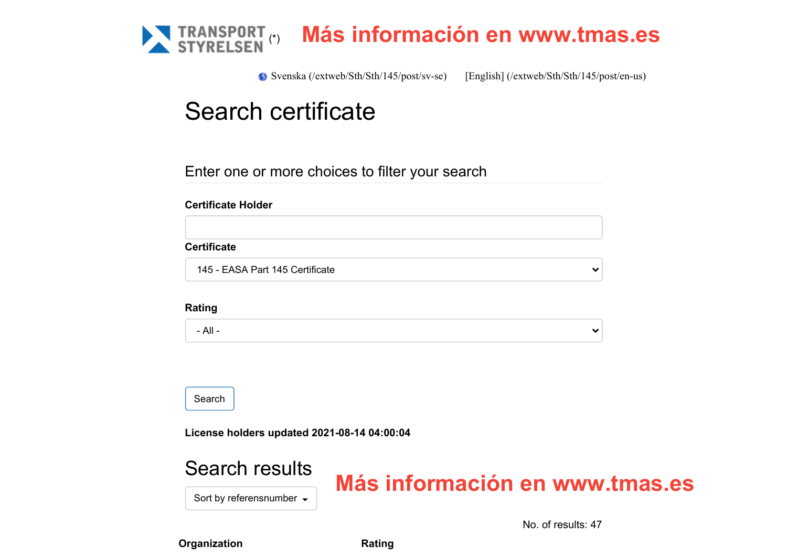

[Svenska \(/extweb/Sth/Sth/145/post/sv-se\)](https://sthav.transportstyrelsen.se/extweb/Sth/Sth/145/post/sv-se) [\[English\] \(/extweb/Sth/Sth/145/post/en-us\)](https://sthav.transportstyrelsen.se/extweb/Sth/Sth/145/post/en-us)

# Search certificate

Enter one or more choices to filter your search

### **Certificate Holder**

### **Certificate**

145 - EASA Part 145 Certificate

#### **Rating**

- All -

Search

**License holders updated 2021-08-14 04:00:04**

# Search results

# **Más información en www.tmas.es**

Sort by referensnumber  $\sim$ 

No. of results: 47

 $\checkmark$ 

 $\checkmark$ 

**Organization Rating**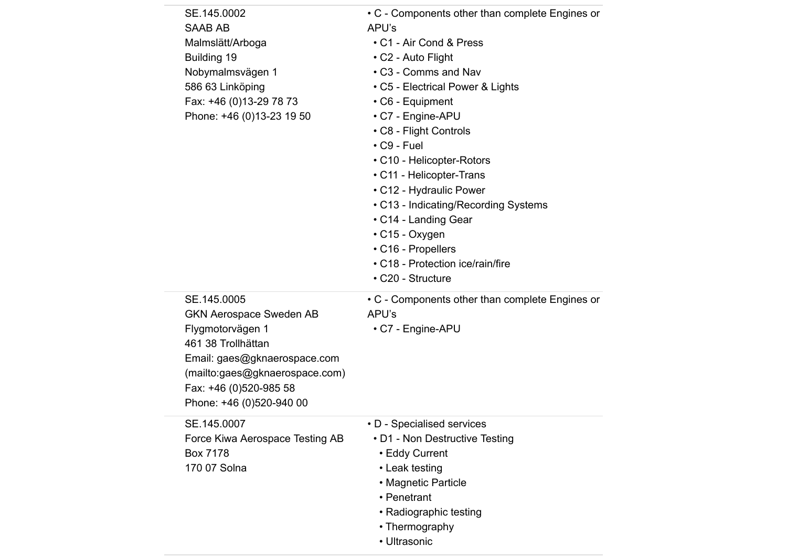| SE.145.0002<br><b>SAAB AB</b><br>Malmslätt/Arboga<br>Building 19<br>Nobymalmsvägen 1<br>586 63 Linköping<br>Fax: +46 (0)13-29 78 73<br>Phone: +46 (0)13-23 19 50                                                | • C - Components other than complete Engines or<br>APU's<br>• C1 - Air Cond & Press<br>• C2 - Auto Flight<br>• C3 - Comms and Nav<br>• C5 - Electrical Power & Lights<br>$\cdot$ C6 - Equipment<br>• C7 - Engine-APU<br>• C8 - Flight Controls<br>$\cdot$ C9 - Fuel<br>• C10 - Helicopter-Rotors<br>• C11 - Helicopter-Trans<br>• C12 - Hydraulic Power<br>• C13 - Indicating/Recording Systems<br>• C14 - Landing Gear<br>$\cdot$ C15 - Oxygen<br>• C16 - Propellers<br>• C18 - Protection ice/rain/fire<br>• C20 - Structure |
|-----------------------------------------------------------------------------------------------------------------------------------------------------------------------------------------------------------------|--------------------------------------------------------------------------------------------------------------------------------------------------------------------------------------------------------------------------------------------------------------------------------------------------------------------------------------------------------------------------------------------------------------------------------------------------------------------------------------------------------------------------------|
| SE.145.0005<br><b>GKN Aerospace Sweden AB</b><br>Flygmotorvägen 1<br>461 38 Trollhättan<br>Email: gaes@gknaerospace.com<br>(mailto:gaes@gknaerospace.com)<br>Fax: +46 (0)520-985 58<br>Phone: +46 (0)520-940 00 | • C - Components other than complete Engines or<br>APU's<br>• C7 - Engine-APU                                                                                                                                                                                                                                                                                                                                                                                                                                                  |
| SE.145.0007<br>Force Kiwa Aerospace Testing AB<br>Box 7178<br>170 07 Solna                                                                                                                                      | • D - Specialised services<br>• D1 - Non Destructive Testing<br>• Eddy Current<br>• Leak testing<br>• Magnetic Particle<br>• Penetrant<br>• Radiographic testing<br>• Thermography<br>• Ultrasonic                                                                                                                                                                                                                                                                                                                             |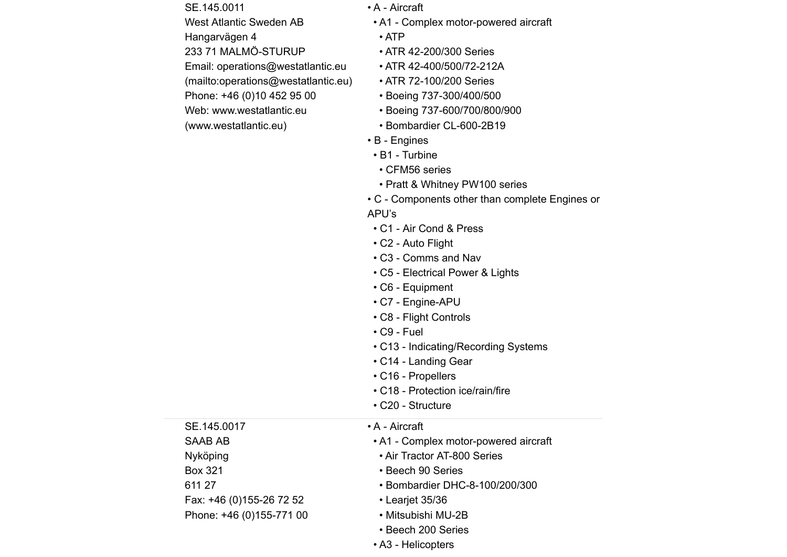SE.145.0011 West Atlantic Sweden AB Hangarvägen 4 233 71 MALMÖ-STURUP Email: operations@westatlantic.eu [\(mailto:operations@westatlantic.eu\)](mailto:operations@westatlantic.eu) Phone: +46 (0)10 452 95 00 [Web: www.westatlantic.eu](https://sthav.transportstyrelsen.se/extweb/Sth/Sth/145/post/www.westatlantic.eu)

(www.westatlantic.eu)

- A Aircraft
- A1 Complex motor-powered aircraft
- ATP
- ATR 42-200/300 Series
- ATR 42-400/500/72-212A
- ATR 72-100/200 Series
- Boeing 737-300/400/500
- Boeing 737-600/700/800/900
- Bombardier CL-600-2B19
- B Engines
- B1 Turbine
- CFM56 series
- Pratt & Whitney PW100 series
- C Components other than complete Engines or
- APU's
- C1 Air Cond & Press
- C2 Auto Flight
- C3 Comms and Nav
- C5 Electrical Power & Lights
- C6 Equipment
- C7 Engine-APU
- C8 Flight Controls
- C9 Fuel
- C13 Indicating/Recording Systems
- C14 Landing Gear
- C16 Propellers
- C18 Protection ice/rain/fire
- C20 Structure

SE.145.0017 SAAB AB Nyköping Box 321 611 27 Fax: +46 (0)155-26 72 52 Phone: +46 (0)155-771 00

## • A - Aircraft

- A1 Complex motor-powered aircraft
- Air Tractor AT-800 Series
- Beech 90 Series
- Bombardier DHC-8-100/200/300
- Learjet 35/36
- Mitsubishi MU-2B
- Beech 200 Series
- A3 Helicopters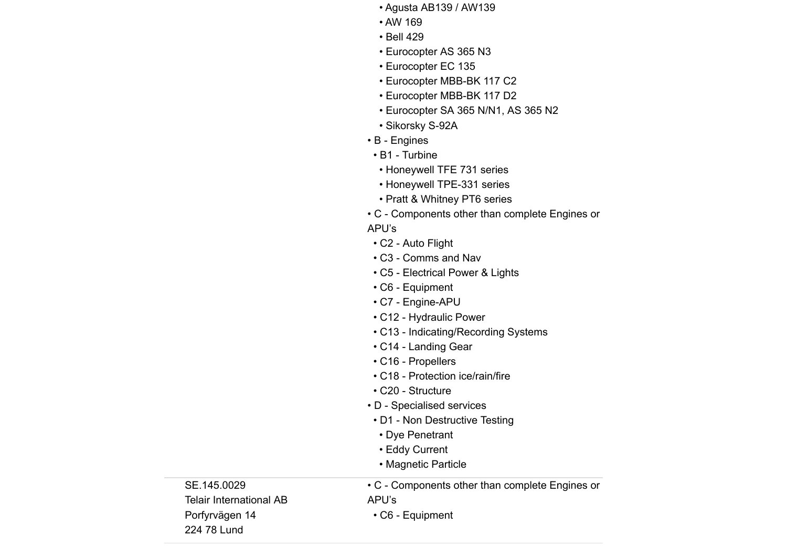- Agusta AB139 / AW139
- AW 169
- Bell 429
- Eurocopter AS 365 N3
- Eurocopter EC 135
- Eurocopter MBB-BK 117 C2
- Eurocopter MBB-BK 117 D2
- Eurocopter SA 365 N/N1, AS 365 N2
- Sikorsky S-92A
- B Engines
	- B1 Turbine
	- Honeywell TFE 731 series
	- Honeywell TPE-331 series
	- Pratt & Whitney PT6 series
- C Components other than complete Engines or
- APU's
- C2 Auto Flight
- C3 Comms and Nav
- C5 Electrical Power & Lights
- C6 Equipment
- C7 Engine-APU
- C12 Hydraulic Power
- C13 Indicating/Recording Systems
- C14 Landing Gear
- C16 Propellers
- C18 Protection ice/rain/fire
- C20 Structure
- D Specialised services
- D1 Non Destructive Testing

• C - Components other than complete Engines or

- Dye Penetrant
- Eddy Current
- Magnetic Particle

SE.145.0029 Telair International AB Porfyrvägen 14 224 78 Lund

APU's • C6 - Equipment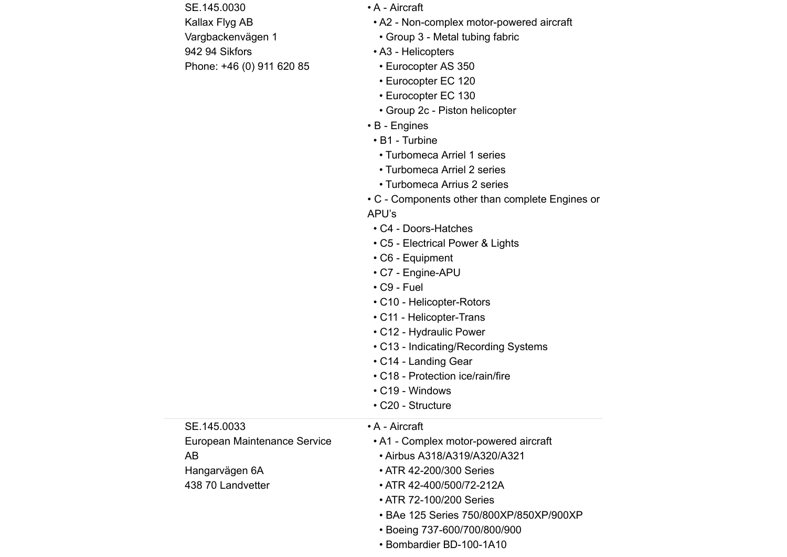SE.145.0030 Kallax Flyg AB Vargbackenvägen 1 942 94 Sikfors Phone: +46 (0) 911 620 85

SE.145.0033

Hangarvägen 6A 438 70 Landvetter

AB

European Maintenance Service

- A Aircraft
- A2 Non-complex motor-powered aircraft
- Group 3 Metal tubing fabric
- A3 Helicopters
- Eurocopter AS 350
- Eurocopter EC 120
- Eurocopter EC 130
- Group 2c Piston helicopter
- B Engines
- B1 Turbine
- Turbomeca Arriel 1 series
- Turbomeca Arriel 2 series
- Turbomeca Arrius 2 series
- C Components other than complete Engines or
- APU's
- C4 Doors-Hatches
- C5 Electrical Power & Lights
- C6 Equipment
- C7 Engine-APU
- C9 Fuel
- C10 Helicopter-Rotors
- C11 Helicopter-Trans
- C12 Hydraulic Power
- C13 Indicating/Recording Systems
- C14 Landing Gear
- C18 Protection ice/rain/fire
- C19 Windows
- C20 Structure

## • A - Aircraft

- A1 Complex motor-powered aircraft
	- Airbus A318/A319/A320/A321
	- ATR 42-200/300 Series
	- ATR 42-400/500/72-212A
	- ATR 72-100/200 Series
	- BAe 125 Series 750/800XP/850XP/900XP
	- Boeing 737-600/700/800/900
	- Bombardier BD-100-1A10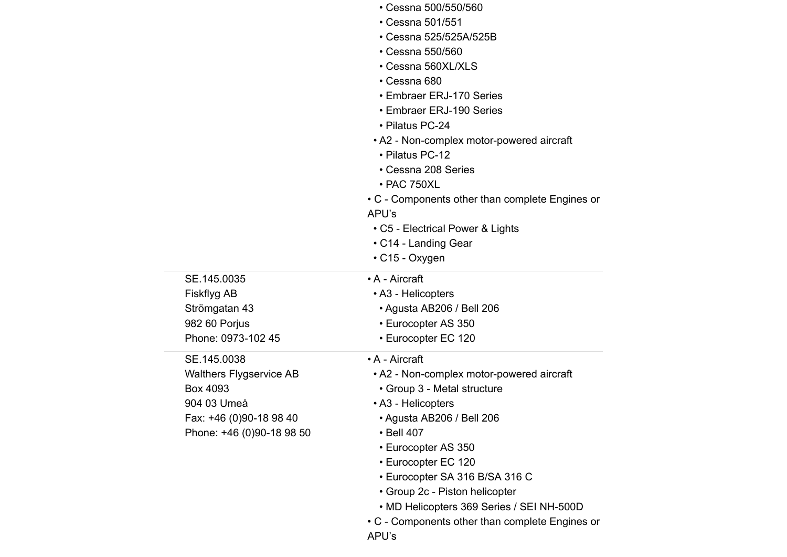|                           | • Cessna 500/550/560                            |
|---------------------------|-------------------------------------------------|
|                           | • Cessna 501/551                                |
|                           | • Cessna 525/525A/525B                          |
|                           | • Cessna 550/560                                |
|                           | • Cessna 560XL/XLS                              |
|                           | • Cessna 680                                    |
|                           | • Embraer ERJ-170 Series                        |
|                           | • Embraer ERJ-190 Series                        |
|                           | • Pilatus PC-24                                 |
|                           | • A2 - Non-complex motor-powered aircraft       |
|                           | • Pilatus PC-12                                 |
|                           | • Cessna 208 Series                             |
|                           | • PAC 750XL                                     |
|                           | • C - Components other than complete Engines or |
|                           | APU's                                           |
|                           | • C5 - Electrical Power & Lights                |
|                           | • C14 - Landing Gear                            |
|                           | $\cdot$ C15 - Oxygen                            |
| SE.145.0035               | • A - Aircraft                                  |
| Fiskflyg AB               | • A3 - Helicopters                              |
| Strömgatan 43             | • Agusta AB206 / Bell 206                       |
| 982 60 Porjus             | • Eurocopter AS 350                             |
| Phone: 0973-102 45        | • Eurocopter EC 120                             |
| SE.145.0038               | • A - Aircraft                                  |
| Walthers Flygservice AB   | • A2 - Non-complex motor-powered aircraft       |
| Box 4093                  | • Group 3 - Metal structure                     |
| 904 03 Umeå               | • A3 - Helicopters                              |
| Fax: +46 (0)90-18 98 40   | • Agusta AB206 / Bell 206                       |
| Phone: +46 (0)90-18 98 50 | • Bell 407                                      |
|                           | • Eurocopter AS 350                             |
|                           | • Eurocopter EC 120                             |
|                           | • Eurocopter SA 316 B/SA 316 C                  |
|                           | • Group 2c - Piston helicopter                  |
|                           | • MD Helicopters 369 Series / SEI NH-500D       |
|                           | • C - Components other than complete Engines or |

APU's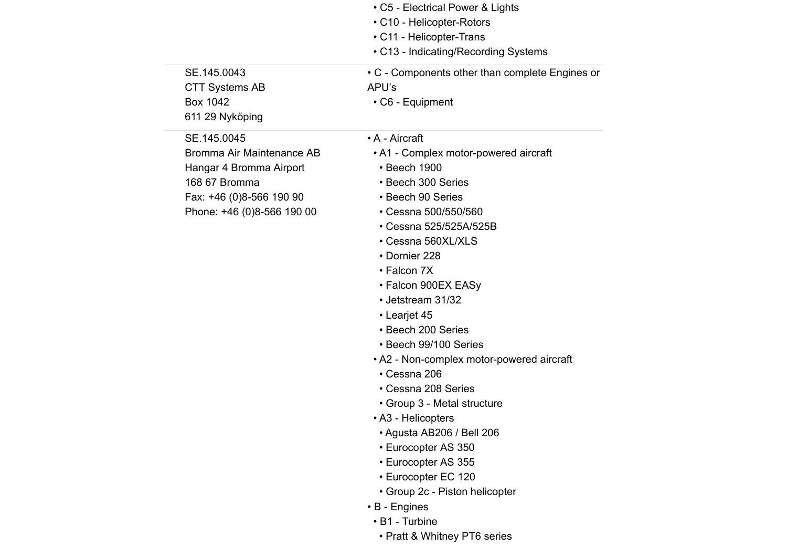| SE.145.0043<br><b>CTT Systems AB</b><br><b>Box 1042</b><br>611 29 Nyköping                                                                     | • C5 - Electrical Power & Lights<br>• C10 - Helicopter-Rotors<br>• C11 - Helicopter-Trans<br>• C13 - Indicating/Recording Systems<br>• C - Components other than complete Engines or<br>APU's<br>• C6 - Equipment                                                                                                                                                                                                                                                                                                                                                                                                                                                                           |
|------------------------------------------------------------------------------------------------------------------------------------------------|---------------------------------------------------------------------------------------------------------------------------------------------------------------------------------------------------------------------------------------------------------------------------------------------------------------------------------------------------------------------------------------------------------------------------------------------------------------------------------------------------------------------------------------------------------------------------------------------------------------------------------------------------------------------------------------------|
| SE.145.0045<br>Bromma Air Maintenance AB<br>Hangar 4 Bromma Airport<br>168 67 Bromma<br>Fax: +46 (0)8-566 190 90<br>Phone: +46 (0)8-566 190 00 | • A - Aircraft<br>• A1 - Complex motor-powered aircraft<br>• Beech 1900<br>• Beech 300 Series<br>• Beech 90 Series<br>• Cessna 500/550/560<br>• Cessna 525/525A/525B<br>• Cessna 560XL/XLS<br>• Dornier 228<br>• Falcon 7X<br>• Falcon 900EX EASy<br>• Jetstream 31/32<br>• Learjet 45<br>• Beech 200 Series<br>• Beech 99/100 Series<br>• A2 - Non-complex motor-powered aircraft<br>• Cessna 206<br>• Cessna 208 Series<br>• Group 3 - Metal structure<br>• A3 - Helicopters<br>· Agusta AB206 / Bell 206<br>• Eurocopter AS 350<br>• Eurocopter AS 355<br>• Eurocopter EC 120<br>• Group 2c - Piston helicopter<br>$\cdot$ B - Engines<br>• B1 - Turbine<br>• Pratt & Whitney PT6 series |
|                                                                                                                                                |                                                                                                                                                                                                                                                                                                                                                                                                                                                                                                                                                                                                                                                                                             |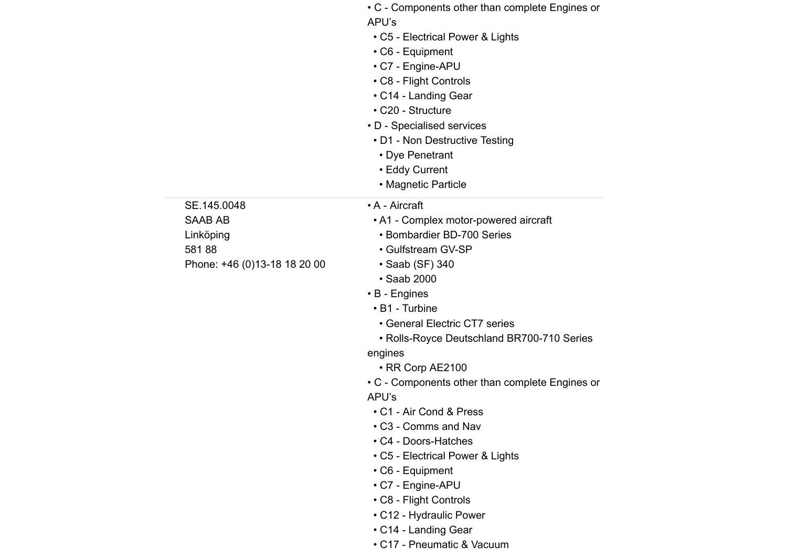|                              | • C - Components other than complete Engines or<br>APU's<br>• C5 - Electrical Power & Lights<br>• C6 - Equipment<br>• C7 - Engine-APU<br>• C8 - Flight Controls<br>• C14 - Landing Gear<br>• C20 - Structure<br>• D - Specialised services<br>• D1 - Non Destructive Testing<br>• Dye Penetrant<br>• Eddy Current<br>• Magnetic Particle |
|------------------------------|------------------------------------------------------------------------------------------------------------------------------------------------------------------------------------------------------------------------------------------------------------------------------------------------------------------------------------------|
| SE.145.0048                  | • A - Aircraft                                                                                                                                                                                                                                                                                                                           |
| <b>SAAB AB</b>               | • A1 - Complex motor-powered aircraft<br>• Bombardier BD-700 Series                                                                                                                                                                                                                                                                      |
| Linköping<br>58188           | • Gulfstream GV-SP                                                                                                                                                                                                                                                                                                                       |
| Phone: +46 (0)13-18 18 20 00 | • Saab (SF) 340                                                                                                                                                                                                                                                                                                                          |
|                              | • Saab 2000                                                                                                                                                                                                                                                                                                                              |
|                              | $\cdot$ B - Engines                                                                                                                                                                                                                                                                                                                      |
|                              | • B1 - Turbine                                                                                                                                                                                                                                                                                                                           |
|                              | • General Electric CT7 series                                                                                                                                                                                                                                                                                                            |
|                              | • Rolls-Royce Deutschland BR700-710 Series                                                                                                                                                                                                                                                                                               |
|                              | engines                                                                                                                                                                                                                                                                                                                                  |
|                              | • RR Corp AE2100                                                                                                                                                                                                                                                                                                                         |
|                              | • C - Components other than complete Engines or                                                                                                                                                                                                                                                                                          |
|                              | APU's                                                                                                                                                                                                                                                                                                                                    |
|                              | • C1 - Air Cond & Press                                                                                                                                                                                                                                                                                                                  |
|                              | • C3 - Comms and Nav                                                                                                                                                                                                                                                                                                                     |
|                              | • C4 - Doors-Hatches                                                                                                                                                                                                                                                                                                                     |
|                              | • C5 - Electrical Power & Lights                                                                                                                                                                                                                                                                                                         |
|                              | • C6 - Equipment                                                                                                                                                                                                                                                                                                                         |
|                              | • C7 - Engine-APU                                                                                                                                                                                                                                                                                                                        |
|                              | • C8 - Flight Controls                                                                                                                                                                                                                                                                                                                   |
|                              | • C12 - Hydraulic Power                                                                                                                                                                                                                                                                                                                  |
|                              | • C14 - Landing Gear                                                                                                                                                                                                                                                                                                                     |
|                              | • C17 - Pneumatic & Vacuum                                                                                                                                                                                                                                                                                                               |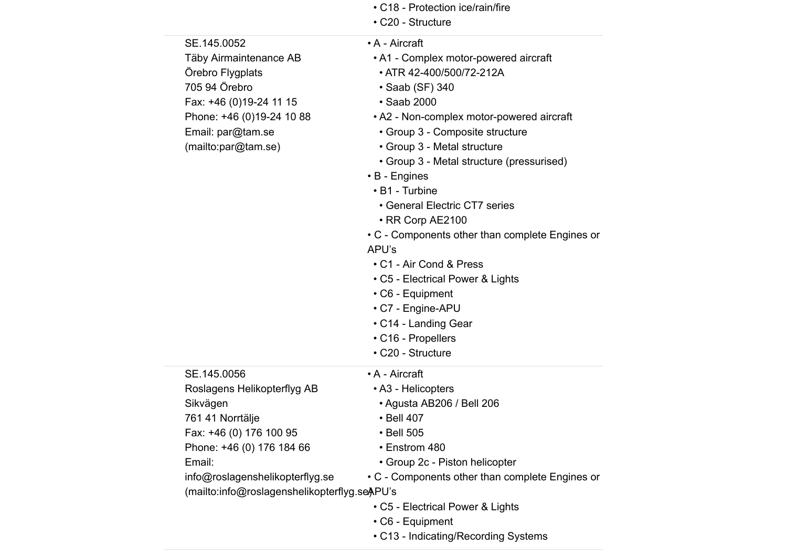| • C18 - Protection ice/rain/fire |  |
|----------------------------------|--|
|----------------------------------|--|

• C20 - Structure

| SE.145.0052                                  | • A - Aircraft                                  |
|----------------------------------------------|-------------------------------------------------|
| Täby Airmaintenance AB                       | • A1 - Complex motor-powered aircraft           |
| Örebro Flygplats                             | • ATR 42-400/500/72-212A                        |
| 705 94 Örebro                                | • Saab (SF) 340                                 |
| Fax: +46 (0)19-24 11 15                      | • Saab 2000                                     |
| Phone: +46 (0)19-24 10 88                    | • A2 - Non-complex motor-powered aircraft       |
| Email: par@tam.se                            | • Group 3 - Composite structure                 |
| (mailto:par@tam.se)                          | • Group 3 - Metal structure                     |
|                                              | • Group 3 - Metal structure (pressurised)       |
|                                              | • B - Engines                                   |
|                                              | • B1 - Turbine                                  |
|                                              | • General Electric CT7 series                   |
|                                              | • RR Corp AE2100                                |
|                                              | • C - Components other than complete Engines or |
|                                              | APU's                                           |
|                                              | • C1 - Air Cond & Press                         |
|                                              | • C5 - Electrical Power & Lights                |
|                                              | • C6 - Equipment                                |
|                                              | • C7 - Engine-APU                               |
|                                              | • C14 - Landing Gear                            |
|                                              | • C16 - Propellers                              |
|                                              | • C20 - Structure                               |
| SE.145.0056                                  | • A - Aircraft                                  |
| Roslagens Helikopterflyg AB                  | • A3 - Helicopters                              |
| Sikvägen                                     | • Agusta AB206 / Bell 206                       |
| 761 41 Norrtälje                             | • Bell 407                                      |
| Fax: +46 (0) 176 100 95                      | • Bell 505                                      |
| Phone: +46 (0) 176 184 66                    | • Enstrom 480                                   |
| Email:                                       | • Group 2c - Piston helicopter                  |
| info@roslagenshelikopterflyg.se              | • C - Components other than complete Engines or |
| (mailto:info@roslagenshelikopterflyg.seAPU's |                                                 |
|                                              | • C5 - Electrical Power & Lights                |
|                                              | • C6 - Equipment                                |
|                                              | • C13 - Indicating/Recording Systems            |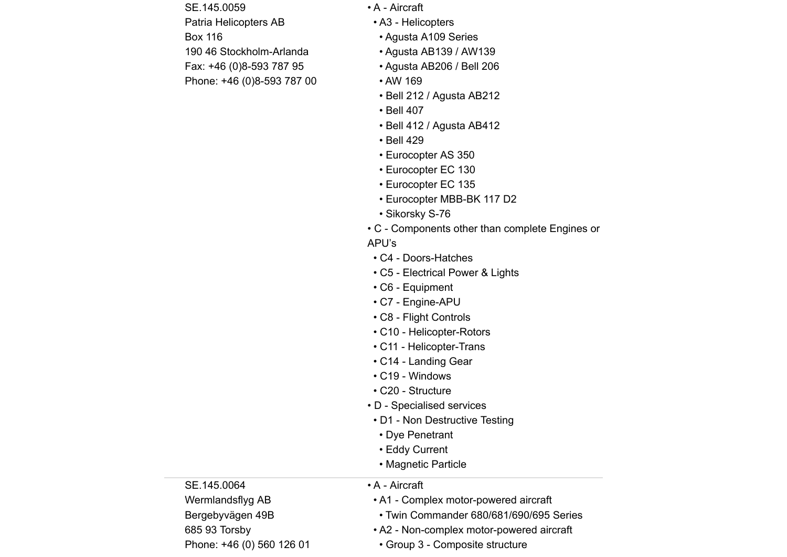SE.145.0059 Patria Helicopters AB Box 116 190 46 Stockholm-Arlanda Fax: +46 (0)8-593 787 95 Phone: +46 (0)8-593 787 00

- A Aircraft
- A3 Helicopters
- Agusta A109 Series
- Agusta AB139 / AW139
- Agusta AB206 / Bell 206
- AW 169
- Bell 212 / Agusta AB212
- Bell 407
- Bell 412 / Agusta AB412
- Bell 429
- Eurocopter AS 350
- Eurocopter EC 130
- Eurocopter EC 135
- Eurocopter MBB-BK 117 D2
- Sikorsky S-76
- C Components other than complete Engines or
- APU's
- C4 Doors-Hatches
- C5 Electrical Power & Lights
- C6 Equipment
- C7 Engine-APU
- C8 Flight Controls
- C10 Helicopter-Rotors
- C11 Helicopter-Trans
- C14 Landing Gear
- C19 Windows
- C20 Structure
- D Specialised services
- D1 Non Destructive Testing
- Dye Penetrant
- Eddy Current
- Magnetic Particle

SE.145.0064 Wermlandsflyg AB Bergebyvägen 49B 685 93 Torsby Phone: +46 (0) 560 126 01

- A Aircraft
- A1 Complex motor-powered aircraft
- Twin Commander 680/681/690/695 Series
- A2 Non-complex motor-powered aircraft
- Group 3 Composite structure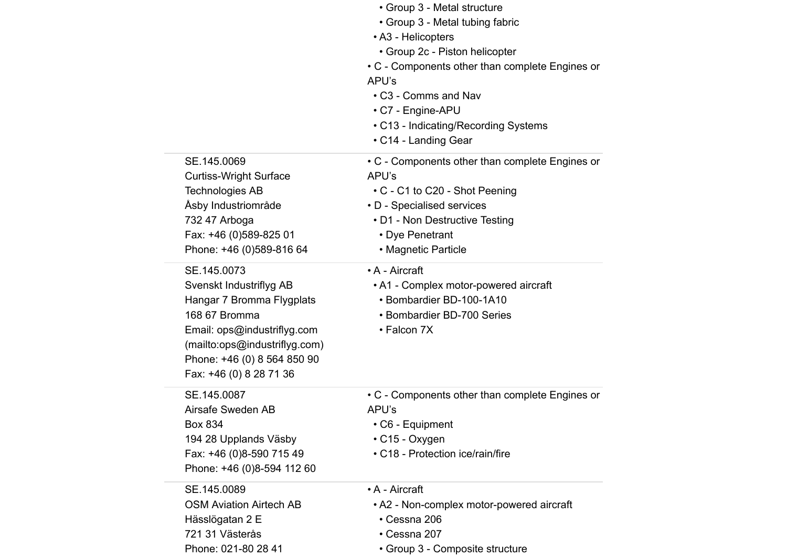|                                                                                                                                                                                                                | • Group 3 - Metal structure<br>• Group 3 - Metal tubing fabric<br>• A3 - Helicopters<br>• Group 2c - Piston helicopter<br>• C - Components other than complete Engines or<br>APU's<br>• C3 - Comms and Nav<br>• C7 - Engine-APU<br>• C13 - Indicating/Recording Systems<br>• C14 - Landing Gear |
|----------------------------------------------------------------------------------------------------------------------------------------------------------------------------------------------------------------|-------------------------------------------------------------------------------------------------------------------------------------------------------------------------------------------------------------------------------------------------------------------------------------------------|
| SE.145.0069<br><b>Curtiss-Wright Surface</b><br><b>Technologies AB</b><br>Åsby Industriområde<br>732 47 Arboga<br>Fax: +46 (0)589-825 01<br>Phone: +46 (0)589-816 64                                           | • C - Components other than complete Engines or<br>APU's<br>• C - C1 to C20 - Shot Peening<br>• D - Specialised services<br>• D1 - Non Destructive Testing<br>• Dye Penetrant<br>• Magnetic Particle                                                                                            |
| SE.145.0073<br>Svenskt Industriflyg AB<br>Hangar 7 Bromma Flygplats<br>168 67 Bromma<br>Email: ops@industriflyg.com<br>(mailto:ops@industriflyg.com)<br>Phone: +46 (0) 8 564 850 90<br>Fax: +46 (0) 8 28 71 36 | • A - Aircraft<br>• A1 - Complex motor-powered aircraft<br>• Bombardier BD-100-1A10<br>• Bombardier BD-700 Series<br>• Falcon 7X                                                                                                                                                                |
| SE.145.0087<br>Airsafe Sweden AB<br><b>Box 834</b><br>194 28 Upplands Väsby<br>Fax: +46 (0)8-590 715 49<br>Phone: +46 (0)8-594 112 60                                                                          | • C - Components other than complete Engines or<br>APU's<br>• C6 - Equipment<br>$\cdot$ C15 - Oxygen<br>• C18 - Protection ice/rain/fire                                                                                                                                                        |
| SE.145.0089<br><b>OSM Aviation Airtech AB</b><br>Hässlögatan 2 E<br>721 31 Västerås<br>Phone: 021-80 28 41                                                                                                     | • A - Aircraft<br>• A2 - Non-complex motor-powered aircraft<br>• Cessna 206<br>• Cessna 207<br>• Group 3 - Composite structure                                                                                                                                                                  |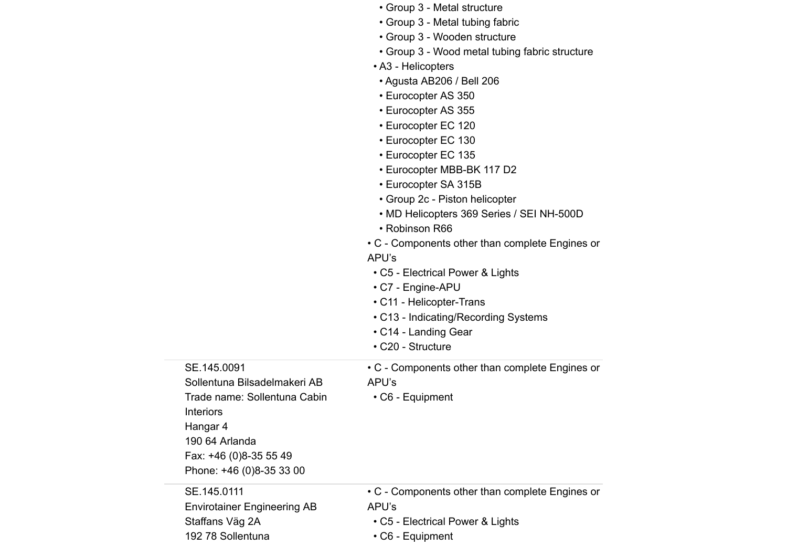|                                    | • Group 3 - Metal structure                     |
|------------------------------------|-------------------------------------------------|
|                                    | • Group 3 - Metal tubing fabric                 |
|                                    | • Group 3 - Wooden structure                    |
|                                    | • Group 3 - Wood metal tubing fabric structure  |
|                                    | • A3 - Helicopters                              |
|                                    | • Agusta AB206 / Bell 206                       |
|                                    | • Eurocopter AS 350                             |
|                                    | • Eurocopter AS 355                             |
|                                    | • Eurocopter EC 120                             |
|                                    | • Eurocopter EC 130                             |
|                                    | • Eurocopter EC 135                             |
|                                    | • Eurocopter MBB-BK 117 D2                      |
|                                    | • Eurocopter SA 315B                            |
|                                    | • Group 2c - Piston helicopter                  |
|                                    | • MD Helicopters 369 Series / SEI NH-500D       |
|                                    | • Robinson R66                                  |
|                                    | • C - Components other than complete Engines or |
|                                    | APU's                                           |
|                                    | • C5 - Electrical Power & Lights                |
|                                    | • C7 - Engine-APU                               |
|                                    | • C11 - Helicopter-Trans                        |
|                                    | • C13 - Indicating/Recording Systems            |
|                                    | • C14 - Landing Gear                            |
|                                    | • C20 - Structure                               |
| SE.145.0091                        | • C - Components other than complete Engines or |
| Sollentuna Bilsadelmakeri AB       | APU's                                           |
| Trade name: Sollentuna Cabin       | $\cdot$ C6 - Equipment                          |
| Interiors                          |                                                 |
| Hangar 4                           |                                                 |
| 190 64 Arlanda                     |                                                 |
| Fax: +46 (0)8-35 55 49             |                                                 |
| Phone: +46 (0)8-35 33 00           |                                                 |
| SE.145.0111                        | • C - Components other than complete Engines or |
| <b>Envirotainer Engineering AB</b> | APU's                                           |
| Staffans Väg 2A                    | • C5 - Electrical Power & Lights                |

• C6 - Equipment

192 78 Sollentuna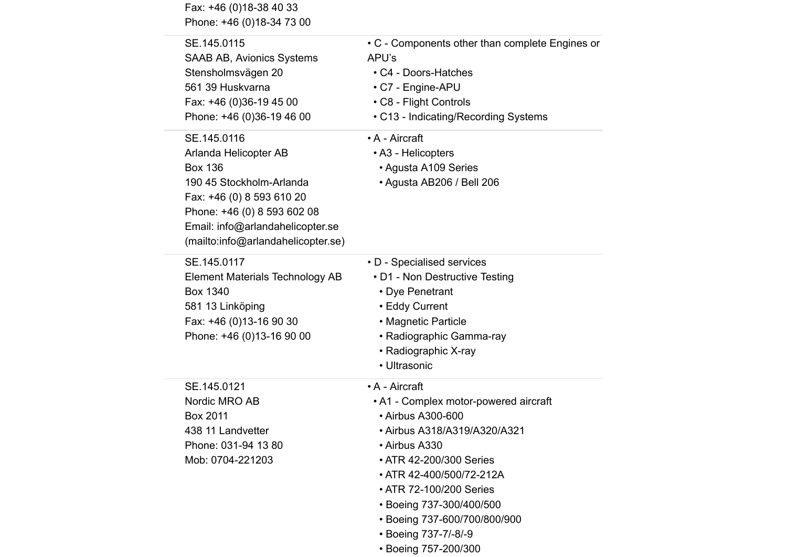| Fax: +46 (0)18-38 40 33<br>Phone: +46 (0)18-34 73 00                                                                                                                                                                     |                                                                                                                                                                                                                                                                                                     |
|--------------------------------------------------------------------------------------------------------------------------------------------------------------------------------------------------------------------------|-----------------------------------------------------------------------------------------------------------------------------------------------------------------------------------------------------------------------------------------------------------------------------------------------------|
| SE.145.0115<br>SAAB AB, Avionics Systems<br>Stensholmsvägen 20<br>561 39 Huskvarna<br>Fax: +46 (0)36-19 45 00<br>Phone: +46 (0)36-19 46 00                                                                               | • C - Components other than complete Engines or<br>APU's<br>• C4 - Doors-Hatches<br>• C7 - Engine-APU<br>• C8 - Flight Controls<br>• C13 - Indicating/Recording Systems                                                                                                                             |
| SE.145.0116<br>Arlanda Helicopter AB<br><b>Box 136</b><br>190 45 Stockholm-Arlanda<br>Fax: +46 (0) 8 593 610 20<br>Phone: +46 (0) 8 593 602 08<br>Email: info@arlandahelicopter.se<br>(mailto:info@arlandahelicopter.se) | • A - Aircraft<br>• A3 - Helicopters<br>• Agusta A109 Series<br>• Agusta AB206 / Bell 206                                                                                                                                                                                                           |
| SE.145.0117<br><b>Element Materials Technology AB</b><br>Box 1340<br>581 13 Linköping<br>Fax: +46 (0)13-16 90 30<br>Phone: +46 (0)13-16 90 00                                                                            | • D - Specialised services<br>• D1 - Non Destructive Testing<br>• Dye Penetrant<br>• Eddy Current<br>• Magnetic Particle<br>• Radiographic Gamma-ray<br>• Radiographic X-ray<br>• Ultrasonic                                                                                                        |
| SE.145.0121<br>Nordic MRO AB<br>Box 2011<br>438 11 Landvetter<br>Phone: 031-94 13 80<br>Mob: 0704-221203                                                                                                                 | • A - Aircraft<br>• A1 - Complex motor-powered aircraft<br>• Airbus A300-600<br>• Airbus A318/A319/A320/A321<br>• Airbus A330<br>• ATR 42-200/300 Series<br>• ATR 42-400/500/72-212A<br>• ATR 72-100/200 Series<br>• Boeing 737-300/400/500<br>• Boeing 737-600/700/800/900<br>• Boeing 737-7/-8/-9 |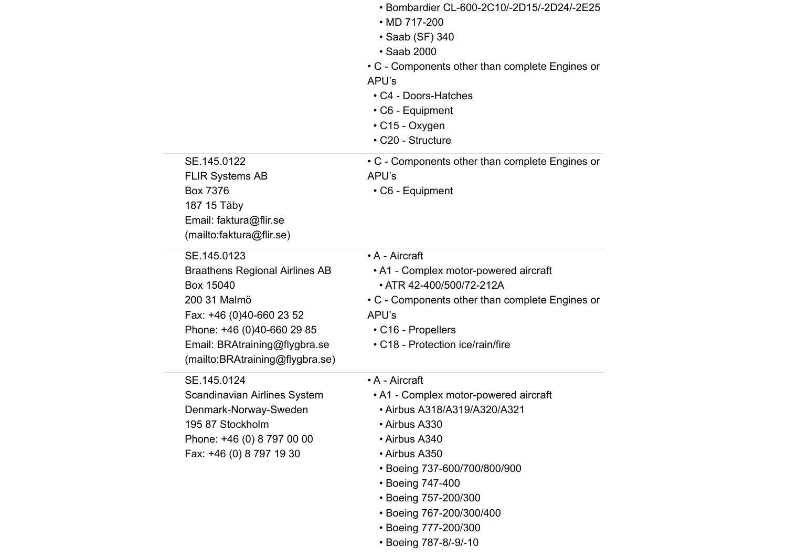|                                                                                                                                                                                                                 | • Bombardier CL-600-2C10/-2D15/-2D24/-2E25<br>• MD 717-200<br>• Saab (SF) 340<br>• Saab 2000<br>• C - Components other than complete Engines or<br>APU's<br>• C4 - Doors-Hatches<br>$\cdot$ C6 - Equipment<br>$\cdot$ C15 - Oxygen<br>• C20 - Structure                                             |
|-----------------------------------------------------------------------------------------------------------------------------------------------------------------------------------------------------------------|-----------------------------------------------------------------------------------------------------------------------------------------------------------------------------------------------------------------------------------------------------------------------------------------------------|
| SE.145.0122<br><b>FLIR Systems AB</b><br><b>Box 7376</b><br>187 15 Täby<br>Email: faktura@flir.se<br>(mailto:faktura@flir.se)                                                                                   | • C - Components other than complete Engines or<br>APU's<br>$\cdot$ C6 - Equipment                                                                                                                                                                                                                  |
| SE.145.0123<br><b>Braathens Regional Airlines AB</b><br>Box 15040<br>200 31 Malmö<br>Fax: +46 (0)40-660 23 52<br>Phone: +46 (0)40-660 29 85<br>Email: BRAtraining@flygbra.se<br>(mailto:BRAtraining@flygbra.se) | • A - Aircraft<br>• A1 - Complex motor-powered aircraft<br>• ATR 42-400/500/72-212A<br>• C - Components other than complete Engines or<br>APU's<br>• C16 - Propellers<br>• C18 - Protection ice/rain/fire                                                                                           |
| SE.145.0124<br>Scandinavian Airlines System<br>Denmark-Norway-Sweden<br>195 87 Stockholm<br>Phone: +46 (0) 8 797 00 00<br>Fax: +46 (0) 8 797 19 30                                                              | • A - Aircraft<br>• A1 - Complex motor-powered aircraft<br>• Airbus A318/A319/A320/A321<br>• Airbus A330<br>• Airbus A340<br>• Airbus A350<br>• Boeing 737-600/700/800/900<br>• Boeing 747-400<br>• Boeing 757-200/300<br>• Boeing 767-200/300/400<br>• Boeing 777-200/300<br>• Boeing 787-8/-9/-10 |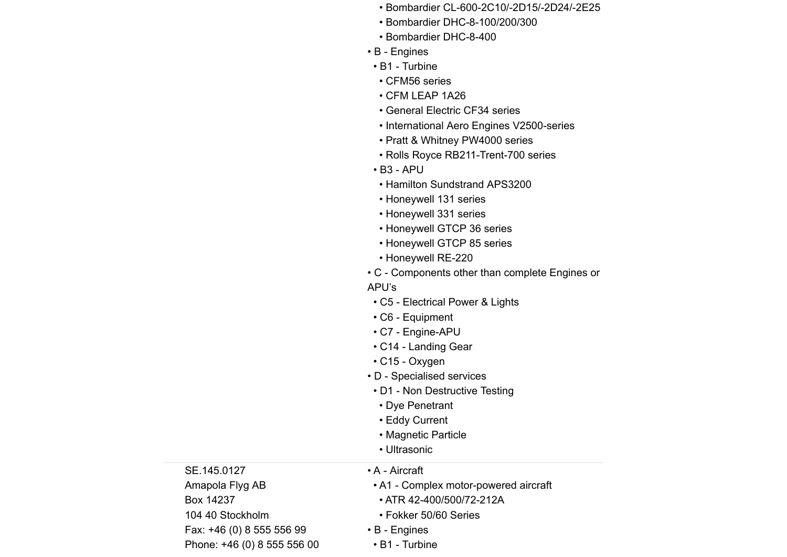- Bombardier CL-600-2C10/-2D15/-2D24/-2E25
- Bombardier DHC-8-100/200/300
- Bombardier DHC-8-400
- B Engines
- B1 Turbine
- CFM56 series
- CFM LEAP 1A26
- General Electric CF34 series
- International Aero Engines V2500-series
- Pratt & Whitney PW4000 series
- Rolls Royce RB211-Trent-700 series
- B3 APU
- Hamilton Sundstrand APS3200
- Honeywell 131 series
- Honeywell 331 series
- Honeywell GTCP 36 series
- Honeywell GTCP 85 series
- Honeywell RE-220
- C Components other than complete Engines or

### APU's

- C5 Electrical Power & Lights
- C6 Equipment
- C7 Engine-APU
- C14 Landing Gear
- C15 Oxygen
- D Specialised services
- D1 Non Destructive Testing

• A1 - Complex motor-powered aircraft

- Dye Penetrant
- Eddy Current
- Magnetic Particle
- Ultrasonic

• A - Aircraft

| SE.145.0127                 |
|-----------------------------|
| Amapola Flyg AB             |
| Box 14237                   |
| 104 40 Stockholm            |
| Fax: +46 (0) 8 555 556 99   |
| Phone: +46 (0) 8 555 556 00 |

- ATR 42-400/500/72-212A
- Fokker 50/60 Series
- B Engines
	- B1 Turbine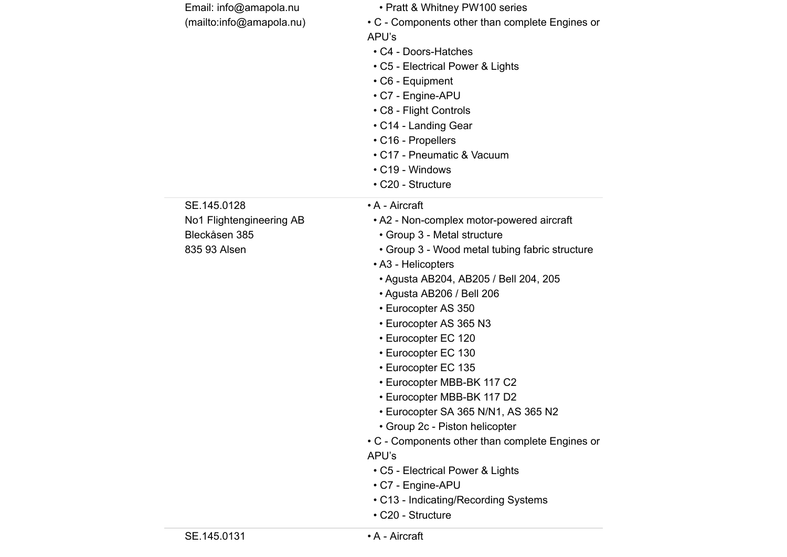|                          | • C7 - Engine-APU<br>• C13 - Indicating/Recording Systems<br>• C20 - Structure |
|--------------------------|--------------------------------------------------------------------------------|
|                          |                                                                                |
|                          |                                                                                |
|                          |                                                                                |
|                          | • C5 - Electrical Power & Lights                                               |
|                          | APU's                                                                          |
|                          | • C - Components other than complete Engines or                                |
|                          | • Group 2c - Piston helicopter                                                 |
|                          | • Eurocopter MBB-BK 117 D2<br>• Eurocopter SA 365 N/N1, AS 365 N2              |
|                          | • Eurocopter MBB-BK 117 C2                                                     |
|                          | • Eurocopter EC 135                                                            |
|                          | • Eurocopter EC 130                                                            |
|                          | • Eurocopter EC 120                                                            |
|                          | • Eurocopter AS 365 N3                                                         |
|                          | • Eurocopter AS 350                                                            |
|                          | • Agusta AB206 / Bell 206                                                      |
|                          | • Agusta AB204, AB205 / Bell 204, 205                                          |
|                          | • A3 - Helicopters                                                             |
| 835 93 Alsen             | • Group 3 - Wood metal tubing fabric structure                                 |
| Bleckåsen 385            | • Group 3 - Metal structure                                                    |
| No1 Flightengineering AB | • A2 - Non-complex motor-powered aircraft                                      |
| SE.145.0128              | • A - Aircraft                                                                 |
|                          | • C20 - Structure                                                              |
|                          | • C19 - Windows                                                                |
|                          | • C17 - Pneumatic & Vacuum                                                     |
|                          | • C16 - Propellers                                                             |
|                          | • C14 - Landing Gear                                                           |
|                          | • C8 - Flight Controls                                                         |
|                          | • C7 - Engine-APU                                                              |
|                          | $\cdot$ C6 - Equipment                                                         |
|                          | • C5 - Electrical Power & Lights                                               |
|                          | • C4 - Doors-Hatches                                                           |
|                          | APU's                                                                          |
| (mailto:info@amapola.nu) | • C - Components other than complete Engines or                                |
| Email: info@amapola.nu   | • Pratt & Whitney PW100 series                                                 |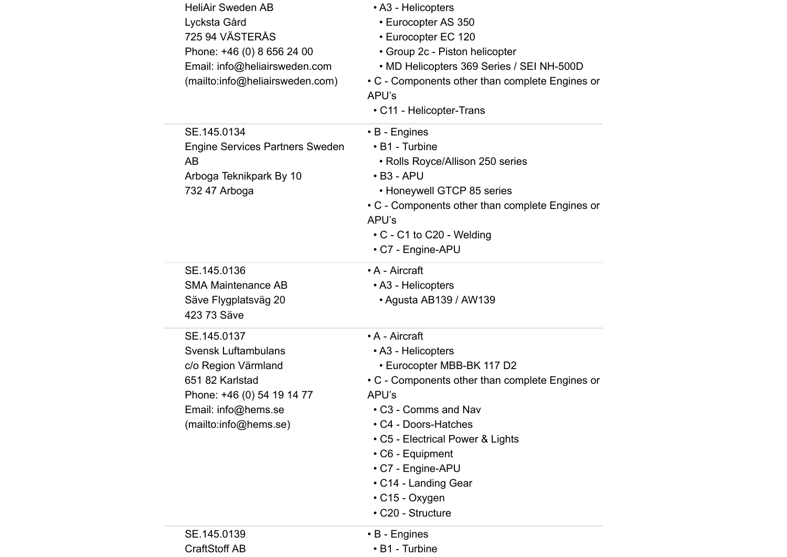| <b>HeliAir Sweden AB</b><br>Lycksta Gård<br>725 94 VÄSTERÅS<br>Phone: +46 (0) 8 656 24 00<br>Email: info@heliairsweden.com<br>(mailto:info@heliairsweden.com)     | • A3 - Helicopters<br>• Eurocopter AS 350<br>• Eurocopter EC 120<br>• Group 2c - Piston helicopter<br>• MD Helicopters 369 Series / SEI NH-500D<br>• C - Components other than complete Engines or<br>APU's<br>• C11 - Helicopter-Trans                                                                                    |
|-------------------------------------------------------------------------------------------------------------------------------------------------------------------|----------------------------------------------------------------------------------------------------------------------------------------------------------------------------------------------------------------------------------------------------------------------------------------------------------------------------|
| SE.145.0134<br><b>Engine Services Partners Sweden</b><br>AB<br>Arboga Teknikpark By 10<br>732 47 Arboga                                                           | $\cdot$ B - Engines<br>• B1 - Turbine<br>• Rolls Royce/Allison 250 series<br>$\cdot$ B3 - APU<br>• Honeywell GTCP 85 series<br>• C - Components other than complete Engines or<br>APU's<br>$\cdot$ C - C1 to C20 - Welding<br>• C7 - Engine-APU                                                                            |
| SE.145.0136<br><b>SMA Maintenance AB</b><br>Säve Flygplatsväg 20<br>423 73 Säve                                                                                   | • A - Aircraft<br>• A3 - Helicopters<br>• Agusta AB139 / AW139                                                                                                                                                                                                                                                             |
| SE.145.0137<br><b>Svensk Luftambulans</b><br>c/o Region Värmland<br>651 82 Karlstad<br>Phone: +46 (0) 54 19 14 77<br>Email: info@hems.se<br>(mailto:info@hems.se) | • A - Aircraft<br>• A3 - Helicopters<br>• Eurocopter MBB-BK 117 D2<br>• C - Components other than complete Engines or<br>APU's<br>• C3 - Comms and Nav<br>• C4 - Doors-Hatches<br>• C5 - Electrical Power & Lights<br>• C6 - Equipment<br>• C7 - Engine-APU<br>• C14 - Landing Gear<br>• C15 - Oxygen<br>• C20 - Structure |
| SE.145.0139<br><b>CraftStoff AB</b>                                                                                                                               | $\cdot$ B - Engines<br>• B1 - Turbine                                                                                                                                                                                                                                                                                      |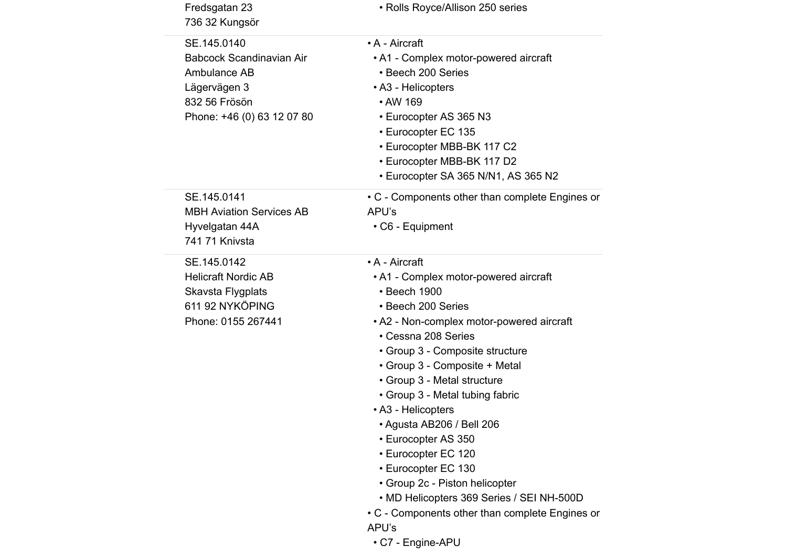| Fredsgatan 23<br>736 32 Kungsör                                                                                               | • Rolls Royce/Allison 250 series                                                                                                                                                                                                                                                                                                                                                                                                                                                                                                                                                                |
|-------------------------------------------------------------------------------------------------------------------------------|-------------------------------------------------------------------------------------------------------------------------------------------------------------------------------------------------------------------------------------------------------------------------------------------------------------------------------------------------------------------------------------------------------------------------------------------------------------------------------------------------------------------------------------------------------------------------------------------------|
| SE.145.0140<br><b>Babcock Scandinavian Air</b><br>Ambulance AB<br>Lägervägen 3<br>832 56 Frösön<br>Phone: +46 (0) 63 12 07 80 | • A - Aircraft<br>• A1 - Complex motor-powered aircraft<br>• Beech 200 Series<br>• A3 - Helicopters<br>• AW 169<br>• Eurocopter AS 365 N3<br>• Eurocopter EC 135<br>• Eurocopter MBB-BK 117 C2<br>• Eurocopter MBB-BK 117 D2<br>• Eurocopter SA 365 N/N1, AS 365 N2                                                                                                                                                                                                                                                                                                                             |
| SE.145.0141<br><b>MBH Aviation Services AB</b><br>Hyvelgatan 44A<br>741 71 Knivsta                                            | • C - Components other than complete Engines or<br>APU's<br>• C6 - Equipment                                                                                                                                                                                                                                                                                                                                                                                                                                                                                                                    |
| SE.145.0142<br><b>Helicraft Nordic AB</b><br>Skavsta Flygplats<br>611 92 NYKÖPING<br>Phone: 0155 267441                       | • A - Aircraft<br>• A1 - Complex motor-powered aircraft<br>• Beech 1900<br>• Beech 200 Series<br>• A2 - Non-complex motor-powered aircraft<br>• Cessna 208 Series<br>• Group 3 - Composite structure<br>• Group 3 - Composite + Metal<br>• Group 3 - Metal structure<br>• Group 3 - Metal tubing fabric<br>• A3 - Helicopters<br>• Agusta AB206 / Bell 206<br>• Eurocopter AS 350<br>• Eurocopter EC 120<br>• Eurocopter EC 130<br>• Group 2c - Piston helicopter<br>• MD Helicopters 369 Series / SEI NH-500D<br>• C - Components other than complete Engines or<br>APU's<br>• C7 - Engine-APU |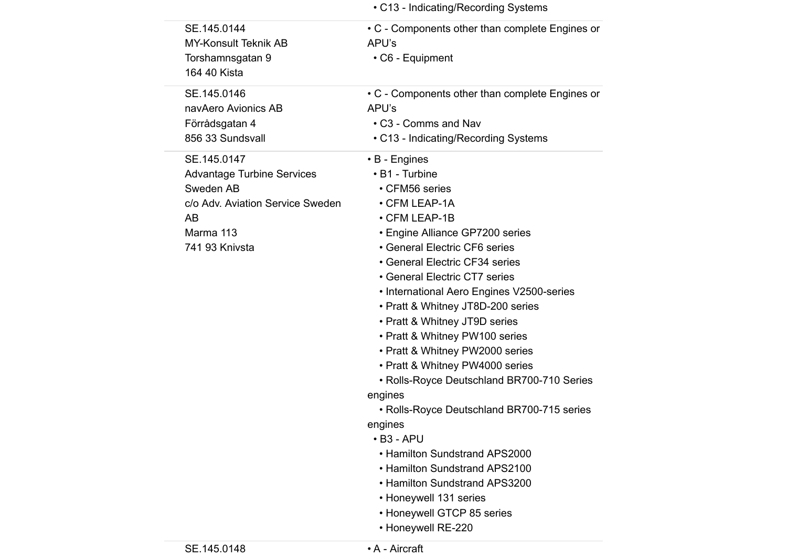|                                   | • C13 - Indicating/Recording Systems            |
|-----------------------------------|-------------------------------------------------|
| SE.145.0144                       | • C - Components other than complete Engines or |
| <b>MY-Konsult Teknik AB</b>       | APU's                                           |
| Torshamnsgatan 9                  | • C6 - Equipment                                |
| 164 40 Kista                      |                                                 |
| SE.145.0146                       | • C - Components other than complete Engines or |
| navAero Avionics AB               | APU's                                           |
| Förrådsgatan 4                    | • C3 - Comms and Nav                            |
| 856 33 Sundsvall                  | • C13 - Indicating/Recording Systems            |
| SE.145.0147                       | • B - Engines                                   |
| <b>Advantage Turbine Services</b> | • B1 - Turbine                                  |
| Sweden AB                         | • CFM56 series                                  |
| c/o Adv. Aviation Service Sweden  | • CFM LEAP-1A                                   |
| <b>AB</b>                         | • CFM LEAP-1B                                   |
| Marma 113                         | • Engine Alliance GP7200 series                 |
| 741 93 Knivsta                    | • General Electric CF6 series                   |
|                                   | • General Electric CF34 series                  |
|                                   | • General Electric CT7 series                   |
|                                   | • International Aero Engines V2500-series       |
|                                   | • Pratt & Whitney JT8D-200 series               |
|                                   | • Pratt & Whitney JT9D series                   |
|                                   | • Pratt & Whitney PW100 series                  |
|                                   | • Pratt & Whitney PW2000 series                 |
|                                   | • Pratt & Whitney PW4000 series                 |
|                                   | • Rolls-Royce Deutschland BR700-710 Series      |
|                                   | engines                                         |
|                                   | • Rolls-Royce Deutschland BR700-715 series      |
|                                   | engines                                         |
|                                   | $\cdot$ B <sub>3</sub> - APU                    |
|                                   | • Hamilton Sundstrand APS2000                   |
|                                   | • Hamilton Sundstrand APS2100                   |
|                                   | • Hamilton Sundstrand APS3200                   |
|                                   | • Honeywell 131 series                          |
|                                   | • Honeywell GTCP 85 series                      |
|                                   | • Honeywell RE-220                              |
|                                   |                                                 |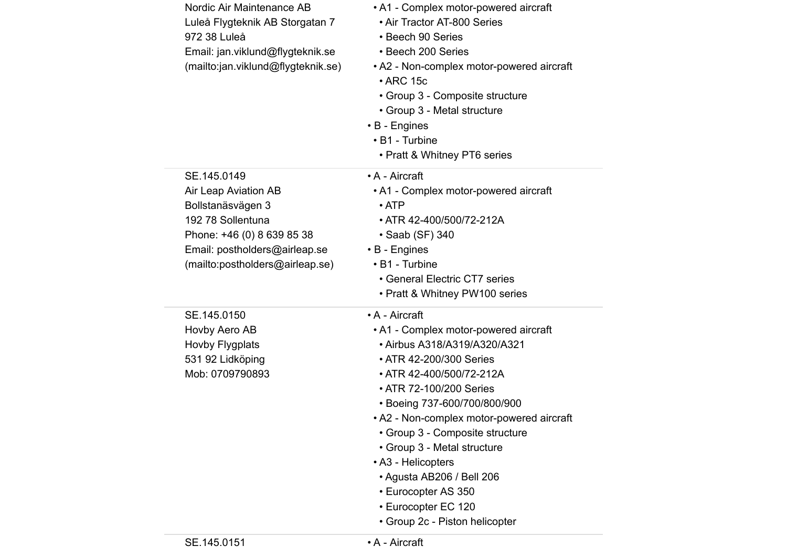| Nordic Air Maintenance AB<br>Luleå Flygteknik AB Storgatan 7<br>972 38 Luleå<br>Email: jan.viklund@flygteknik.se<br>(mailto:jan.viklund@flygteknik.se) | • A1 - Complex motor-powered aircraft<br>• Air Tractor AT-800 Series<br>• Beech 90 Series<br>• Beech 200 Series<br>• A2 - Non-complex motor-powered aircraft<br>$\cdot$ ARC 15c<br>• Group 3 - Composite structure<br>• Group 3 - Metal structure<br>$\cdot$ B - Engines<br>• B1 - Turbine<br>• Pratt & Whitney PT6 series |
|--------------------------------------------------------------------------------------------------------------------------------------------------------|----------------------------------------------------------------------------------------------------------------------------------------------------------------------------------------------------------------------------------------------------------------------------------------------------------------------------|
| SE.145.0149                                                                                                                                            | • A - Aircraft                                                                                                                                                                                                                                                                                                             |
| Air Leap Aviation AB                                                                                                                                   | • A1 - Complex motor-powered aircraft                                                                                                                                                                                                                                                                                      |
| Bollstanäsvägen 3                                                                                                                                      | $\cdot$ ATP                                                                                                                                                                                                                                                                                                                |
| 192 78 Sollentuna                                                                                                                                      | • ATR 42-400/500/72-212A                                                                                                                                                                                                                                                                                                   |
| Phone: +46 (0) 8 639 85 38                                                                                                                             | • Saab (SF) 340                                                                                                                                                                                                                                                                                                            |
| Email: postholders@airleap.se                                                                                                                          | $\cdot$ B - Engines<br>• B1 - Turbine                                                                                                                                                                                                                                                                                      |
| (mailto:postholders@airleap.se)                                                                                                                        | • General Electric CT7 series                                                                                                                                                                                                                                                                                              |
|                                                                                                                                                        | • Pratt & Whitney PW100 series                                                                                                                                                                                                                                                                                             |
| SE.145.0150                                                                                                                                            | • A - Aircraft                                                                                                                                                                                                                                                                                                             |
| Hovby Aero AB                                                                                                                                          | • A1 - Complex motor-powered aircraft                                                                                                                                                                                                                                                                                      |
| Hovby Flygplats                                                                                                                                        | • Airbus A318/A319/A320/A321                                                                                                                                                                                                                                                                                               |
| 531 92 Lidköping                                                                                                                                       | • ATR 42-200/300 Series                                                                                                                                                                                                                                                                                                    |
| Mob: 0709790893                                                                                                                                        | • ATR 42-400/500/72-212A                                                                                                                                                                                                                                                                                                   |
|                                                                                                                                                        | • ATR 72-100/200 Series                                                                                                                                                                                                                                                                                                    |
|                                                                                                                                                        | • Boeing 737-600/700/800/900                                                                                                                                                                                                                                                                                               |
|                                                                                                                                                        | • A2 - Non-complex motor-powered aircraft                                                                                                                                                                                                                                                                                  |
|                                                                                                                                                        | • Group 3 - Composite structure                                                                                                                                                                                                                                                                                            |
|                                                                                                                                                        | • Group 3 - Metal structure                                                                                                                                                                                                                                                                                                |
|                                                                                                                                                        | • A3 - Helicopters                                                                                                                                                                                                                                                                                                         |
|                                                                                                                                                        | • Agusta AB206 / Bell 206                                                                                                                                                                                                                                                                                                  |
|                                                                                                                                                        | • Eurocopter AS 350                                                                                                                                                                                                                                                                                                        |
|                                                                                                                                                        | • Eurocopter EC 120                                                                                                                                                                                                                                                                                                        |
|                                                                                                                                                        | • Group 2c - Piston helicopter                                                                                                                                                                                                                                                                                             |
| SE.145.0151                                                                                                                                            | • A - Aircraft                                                                                                                                                                                                                                                                                                             |